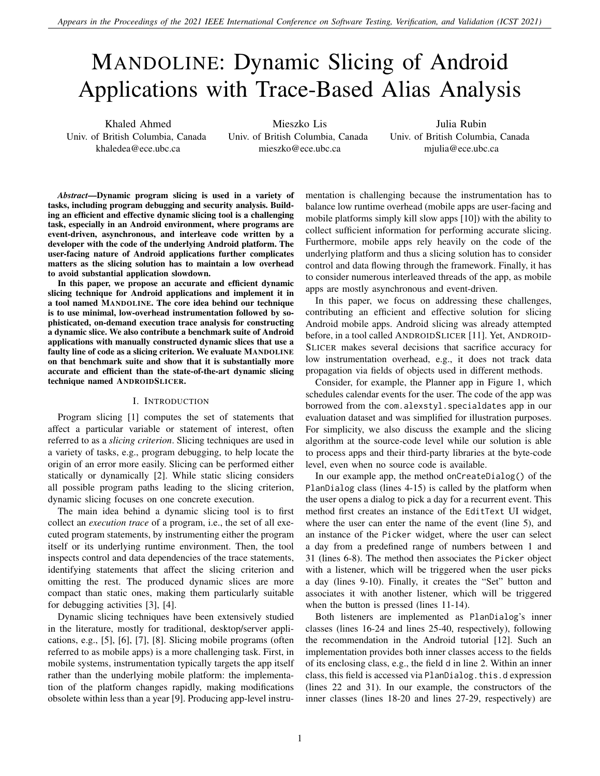# MANDOLINE: Dynamic Slicing of Android Applications with Trace-Based Alias Analysis

Khaled Ahmed Univ. of British Columbia, Canada khaledea@ece.ubc.ca

Mieszko Lis Univ. of British Columbia, Canada mieszko@ece.ubc.ca

Julia Rubin Univ. of British Columbia, Canada mjulia@ece.ubc.ca

*Abstract*—Dynamic program slicing is used in a variety of tasks, including program debugging and security analysis. Building an efficient and effective dynamic slicing tool is a challenging task, especially in an Android environment, where programs are event-driven, asynchronous, and interleave code written by a developer with the code of the underlying Android platform. The user-facing nature of Android applications further complicates matters as the slicing solution has to maintain a low overhead to avoid substantial application slowdown.

In this paper, we propose an accurate and efficient dynamic slicing technique for Android applications and implement it in a tool named MANDOLINE. The core idea behind our technique is to use minimal, low-overhead instrumentation followed by sophisticated, on-demand execution trace analysis for constructing a dynamic slice. We also contribute a benchmark suite of Android applications with manually constructed dynamic slices that use a faulty line of code as a slicing criterion. We evaluate MANDOLINE on that benchmark suite and show that it is substantially more accurate and efficient than the state-of-the-art dynamic slicing technique named ANDROIDSLICER.

# I. INTRODUCTION

Program slicing [\[1\]](#page-10-0) computes the set of statements that affect a particular variable or statement of interest, often referred to as a *slicing criterion*. Slicing techniques are used in a variety of tasks, e.g., program debugging, to help locate the origin of an error more easily. Slicing can be performed either statically or dynamically [\[2\]](#page-10-1). While static slicing considers all possible program paths leading to the slicing criterion, dynamic slicing focuses on one concrete execution.

The main idea behind a dynamic slicing tool is to first collect an *execution trace* of a program, i.e., the set of all executed program statements, by instrumenting either the program itself or its underlying runtime environment. Then, the tool inspects control and data dependencies of the trace statements, identifying statements that affect the slicing criterion and omitting the rest. The produced dynamic slices are more compact than static ones, making them particularly suitable for debugging activities [\[3\]](#page-10-2), [\[4\]](#page-10-3).

Dynamic slicing techniques have been extensively studied in the literature, mostly for traditional, desktop/server applications, e.g., [\[5\]](#page-10-4), [\[6\]](#page-10-5), [\[7\]](#page-10-6), [\[8\]](#page-10-7). Slicing mobile programs (often referred to as mobile apps) is a more challenging task. First, in mobile systems, instrumentation typically targets the app itself rather than the underlying mobile platform: the implementation of the platform changes rapidly, making modifications obsolete within less than a year [\[9\]](#page-10-8). Producing app-level instrumentation is challenging because the instrumentation has to balance low runtime overhead (mobile apps are user-facing and mobile platforms simply kill slow apps [\[10\]](#page-10-9)) with the ability to collect sufficient information for performing accurate slicing. Furthermore, mobile apps rely heavily on the code of the underlying platform and thus a slicing solution has to consider control and data flowing through the framework. Finally, it has to consider numerous interleaved threads of the app, as mobile apps are mostly asynchronous and event-driven.

In this paper, we focus on addressing these challenges, contributing an efficient and effective solution for slicing Android mobile apps. Android slicing was already attempted before, in a tool called ANDROIDSLICER [\[11\]](#page-10-10). Yet, ANDROID-SLICER makes several decisions that sacrifice accuracy for low instrumentation overhead, e.g., it does not track data propagation via fields of objects used in different methods.

Consider, for example, the Planner app in Figure [1,](#page-1-0) which schedules calendar events for the user. The code of the app was borrowed from the com.alexstyl.specialdates app in our evaluation dataset and was simplified for illustration purposes. For simplicity, we also discuss the example and the slicing algorithm at the source-code level while our solution is able to process apps and their third-party libraries at the byte-code level, even when no source code is available.

In our example app, the method onCreateDialog() of the PlanDialog class (lines 4-15) is called by the platform when the user opens a dialog to pick a day for a recurrent event. This method first creates an instance of the EditText UI widget, where the user can enter the name of the event (line 5), and an instance of the Picker widget, where the user can select a day from a predefined range of numbers between 1 and 31 (lines 6-8). The method then associates the Picker object with a listener, which will be triggered when the user picks a day (lines 9-10). Finally, it creates the "Set" button and associates it with another listener, which will be triggered when the button is pressed (lines 11-14).

Both listeners are implemented as PlanDialog's inner classes (lines 16-24 and lines 25-40, respectively), following the recommendation in the Android tutorial [\[12\]](#page-10-11). Such an implementation provides both inner classes access to the fields of its enclosing class, e.g., the field d in line 2. Within an inner class, this field is accessed via PlanDialog.this.d expression (lines 22 and 31). In our example, the constructors of the inner classes (lines 18-20 and lines 27-29, respectively) are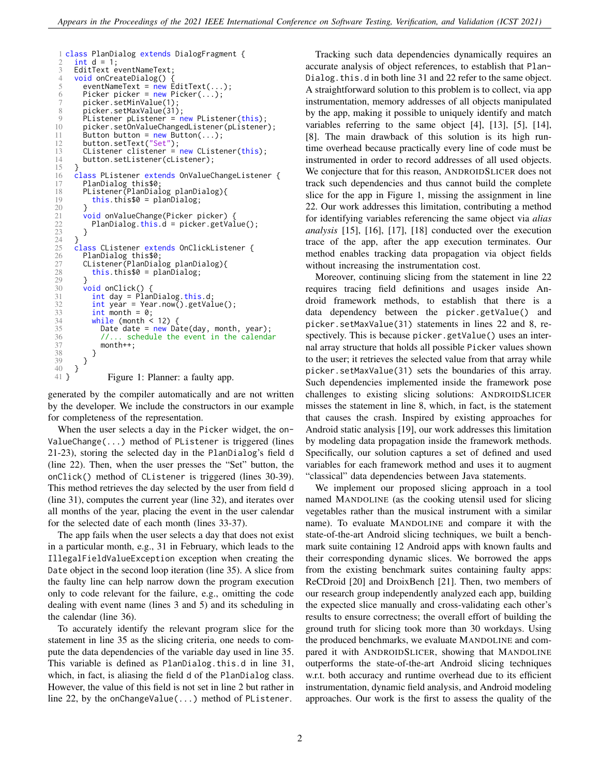```
1 class PlanDialog extends DialogFragment {
 2 int d = 1;<br>3 FditText e3 EditText eventNameText;<br>4 void onCreateDialog() {
 4 void onCreateDialog()<br>5 eventNameText = new
 5 eventNameText = new EditText(...);<br>6 Picker picker = new Picker(...);
           Picker picker = new Picker(...);
 7 picker.setMinValue(1)<br>8 picker.setMaxValue(31
 8 picker.setMaxValue(31);<br>9 Plistener plistener = n
9 PListener pListener = new PListener(this);<br>10 picker.setOnValueChangedListener(pListener
           picker.setOnValueChangedListener(pListener);
11 Button button = new Button(...);<br>12 button.setText("Set"):
11 button.setText("Set");<br>13 CListener clistener =
13 CListener clistener = new CListener(this);<br>14 button.setListener(cListener);
           button.setListener(cListener);
\frac{15}{16}16 class PListener extends OnValueChangeListener {<br>17 PlanDialog this$0;
17 PlanDialog this$0;<br>18 PListener(PlanDial
18 PListener(PlanDialog planDialog){<br>19 this.this$0 = planDialog:
               this. this \ = <math>planDialog</math>;
\frac{20}{21}21 void onValueChange(Picker picker) {<br>22 PlanDialog.this.d = picker.getVal
           PlanDialog.this.d = picker.getValue();<br>}
\frac{25}{23}\frac{24}{25}25 class CListener extends OnClickListener {<br>26 PlanDialog this$0;
26 PlanDialog this$0;<br>27 CListener(PlanDial<br>28 this.this$0 = pl
           27 CListener(PlanDialog planDialog){
               this. this \$0 = planDialog;\frac{29}{30}30 void onClick() {<br>31 int day = Plan
31 int day = \overrightarrow{p}lanDialog.this.d;<br>32 int year = Year.now().getVal
\frac{32}{33} int year = Year.now().getValue();<br>\frac{33}{33} int month = 0;
33 int month = 0;<br>34 while (month <
\frac{34}{35} while (month < 12) {<br>Date date = new Da
35 Date date = new Date(day, month, year);<br>36 //... schedule the event in the calenda
36 //... schedule the event in the calendar<br>37 month++
\frac{37}{38} month++;
\begin{array}{ccc} 38 & & \\ 39 & & \\ 3 \end{array}\begin{matrix} 39 \\ 40 \end{matrix} }
\begin{matrix}40\\41\\3\end{matrix} }
                     Figure 1: Planner: a faulty app.
```
generated by the compiler automatically and are not written by the developer. We include the constructors in our example for completeness of the representation.

When the user selects a day in the Picker widget, the on-ValueChange(...) method of PListener is triggered (lines 21-23), storing the selected day in the PlanDialog's field d (line 22). Then, when the user presses the "Set" button, the onClick() method of CListener is triggered (lines 30-39). This method retrieves the day selected by the user from field d (line 31), computes the current year (line 32), and iterates over all months of the year, placing the event in the user calendar for the selected date of each month (lines 33-37).

The app fails when the user selects a day that does not exist in a particular month, e.g., 31 in February, which leads to the IllegalFieldValueException exception when creating the Date object in the second loop iteration (line 35). A slice from the faulty line can help narrow down the program execution only to code relevant for the failure, e.g., omitting the code dealing with event name (lines 3 and 5) and its scheduling in the calendar (line 36).

To accurately identify the relevant program slice for the statement in line 35 as the slicing criteria, one needs to compute the data dependencies of the variable day used in line 35. This variable is defined as PlanDialog.this.d in line 31, which, in fact, is aliasing the field d of the PlanDialog class. However, the value of this field is not set in line 2 but rather in line 22, by the onChangeValue(...) method of PListener.

Tracking such data dependencies dynamically requires an accurate analysis of object references, to establish that Plan-Dialog. this.d in both line 31 and 22 refer to the same object. A straightforward solution to this problem is to collect, via app instrumentation, memory addresses of all objects manipulated by the app, making it possible to uniquely identify and match variables referring to the same object [\[4\]](#page-10-3), [\[13\]](#page-10-12), [\[5\]](#page-10-4), [\[14\]](#page-10-13), [\[8\]](#page-10-7). The main drawback of this solution is its high runtime overhead because practically every line of code must be instrumented in order to record addresses of all used objects. We conjecture that for this reason, ANDROIDSLICER does not track such dependencies and thus cannot build the complete slice for the app in Figure [1,](#page-1-0) missing the assignment in line 22. Our work addresses this limitation, contributing a method for identifying variables referencing the same object via *alias analysis* [\[15\]](#page-10-14), [\[16\]](#page-10-15), [\[17\]](#page-10-16), [\[18\]](#page-10-17) conducted over the execution trace of the app, after the app execution terminates. Our method enables tracking data propagation via object fields without increasing the instrumentation cost.

Moreover, continuing slicing from the statement in line 22 requires tracing field definitions and usages inside Android framework methods, to establish that there is a data dependency between the picker.getValue() and picker.setMaxValue(31) statements in lines 22 and 8, respectively. This is because picker.getValue() uses an internal array structure that holds all possible Picker values shown to the user; it retrieves the selected value from that array while picker.setMaxValue(31) sets the boundaries of this array. Such dependencies implemented inside the framework pose challenges to existing slicing solutions: ANDROIDSLICER misses the statement in line 8, which, in fact, is the statement that causes the crash. Inspired by existing approaches for Android static analysis [\[19\]](#page-10-18), our work addresses this limitation by modeling data propagation inside the framework methods. Specifically, our solution captures a set of defined and used variables for each framework method and uses it to augment "classical" data dependencies between Java statements.

We implement our proposed slicing approach in a tool named MANDOLINE (as the cooking utensil used for slicing vegetables rather than the musical instrument with a similar name). To evaluate MANDOLINE and compare it with the state-of-the-art Android slicing techniques, we built a benchmark suite containing 12 Android apps with known faults and their corresponding dynamic slices. We borrowed the apps from the existing benchmark suites containing faulty apps: ReCDroid [\[20\]](#page-10-19) and DroixBench [\[21\]](#page-10-20). Then, two members of our research group independently analyzed each app, building the expected slice manually and cross-validating each other's results to ensure correctness; the overall effort of building the ground truth for slicing took more than 30 workdays. Using the produced benchmarks, we evaluate MANDOLINE and compared it with ANDROIDSLICER, showing that MANDOLINE outperforms the state-of-the-art Android slicing techniques w.r.t. both accuracy and runtime overhead due to its efficient instrumentation, dynamic field analysis, and Android modeling approaches. Our work is the first to assess the quality of the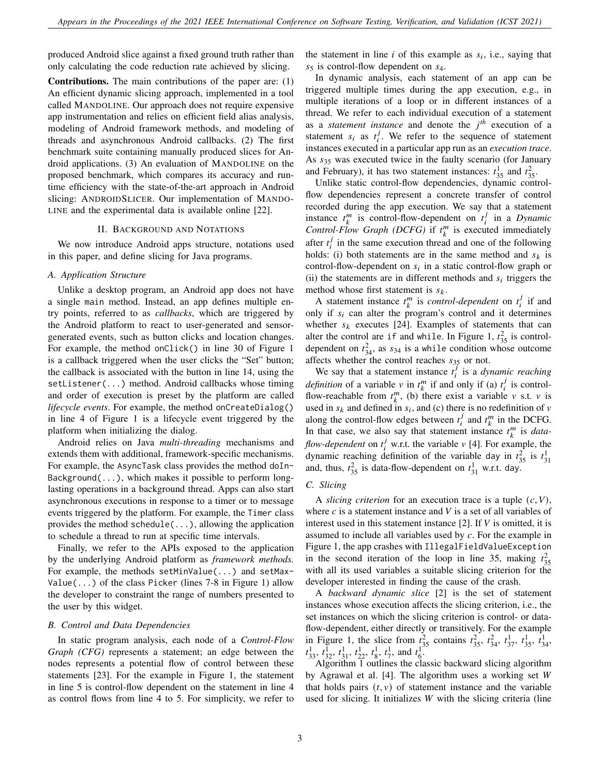produced Android slice against a fixed ground truth rather than only calculating the code reduction rate achieved by slicing.

Contributions. The main contributions of the paper are: (1) An efficient dynamic slicing approach, implemented in a tool called MANDOLINE. Our approach does not require expensive app instrumentation and relies on efficient field alias analysis, modeling of Android framework methods, and modeling of threads and asynchronous Android callbacks. (2) The first benchmark suite containing manually produced slices for Android applications. (3) An evaluation of MANDOLINE on the proposed benchmark, which compares its accuracy and runtime efficiency with the state-of-the-art approach in Android slicing: ANDROIDSLICER. Our implementation of MANDO-LINE and the experimental data is available online [\[22\]](#page-10-21).

#### II. BACKGROUND AND NOTATIONS

<span id="page-2-0"></span>We now introduce Android apps structure, notations used in this paper, and define slicing for Java programs.

## *A. Application Structure*

Unlike a desktop program, an Android app does not have a single main method. Instead, an app defines multiple entry points, referred to as *callbacks*, which are triggered by the Android platform to react to user-generated and sensorgenerated events, such as button clicks and location changes. For example, the method onClick() in line 30 of Figure [1](#page-1-0) is a callback triggered when the user clicks the "Set" button; the callback is associated with the button in line 14, using the setListener(...) method. Android callbacks whose timing and order of execution is preset by the platform are called *lifecycle events*. For example, the method onCreateDialog() in line 4 of Figure [1](#page-1-0) is a lifecycle event triggered by the platform when initializing the dialog.

Android relies on Java *multi-threading* mechanisms and extends them with additional, framework-specific mechanisms. For example, the AsyncTask class provides the method doIn-Background $(\ldots)$ , which makes it possible to perform longlasting operations in a background thread. Apps can also start asynchronous executions in response to a timer or to message events triggered by the platform. For example, the Timer class provides the method schedule(...), allowing the application to schedule a thread to run at specific time intervals.

Finally, we refer to the APIs exposed to the application by the underlying Android platform as *framework methods.* For example, the methods setMinValue(...) and setMax-Value( $\ldots$ ) of the class Picker (lines 7-8 in Figure [1\)](#page-1-0) allow the developer to constraint the range of numbers presented to the user by this widget.

# *B. Control and Data Dependencies*

In static program analysis, each node of a *Control-Flow Graph (CFG)* represents a statement; an edge between the nodes represents a potential flow of control between these statements [\[23\]](#page-10-22). For the example in Figure [1,](#page-1-0) the statement in line 5 is control-flow dependent on the statement in line 4 as control flows from line 4 to 5. For simplicity, we refer to

the statement in line  $i$  of this example as  $s_i$ , i.e., saying that  $s_5$  is control-flow dependent on  $s_4$ .

In dynamic analysis, each statement of an app can be triggered multiple times during the app execution, e.g., in multiple iterations of a loop or in different instances of a thread. We refer to each individual execution of a statement as a *statement instance* and denote the  $j<sup>th</sup>$  execution of a statement  $s_i$  as  $t_i^j$  $i<sub>i</sub>$ . We refer to the sequence of statement instances executed in a particular app run as an *execution trace*. As  $s_{35}$  was executed twice in the faulty scenario (for January and February), it has two statement instances:  $t_{35}^1$  and  $t_{35}^2$ .

Unlike static control-flow dependencies, dynamic controlflow dependencies represent a concrete transfer of control recorded during the app execution. We say that a statement instance  $t_k^m$  is control-flow-dependent on  $t_i^j$ 𝑖 in a *Dynamic Control-Flow Graph (DCFG)* if  $t_k^m$  is executed immediately after  $t_i^j$  $i$  in the same execution thread and one of the following holds: (i) both statements are in the same method and  $s_k$  is control-flow-dependent on  $s_i$  in a static control-flow graph or (ii) the statements are in different methods and  $s_i$  triggers the method whose first statement is  $s_k$ .

A statement instance  $t_k^m$  is *control-dependent* on  $t_i^j$  $i$  if and only if  $s_i$  can alter the program's control and it determines whether  $s_k$  executes [\[24\]](#page-10-23). Examples of statements that can alter the control are if and while. In Figure [1,](#page-1-0)  $t_{35}^2$  is controldependent on  $t_{34}^2$ , as  $s_{34}$  is a while condition whose outcome affects whether the control reaches  $s_{35}$  or not.

We say that a statement instance  $t_i^j$ 𝑖 is a *dynamic reaching definition* of a variable v in  $t_k^m$  if and only if (a)  $t_i^j$  $\frac{J}{i}$  is controlflow-reachable from  $t_k^m$ , (b) there exist a variable v s.t. v is used in  $s_k$  and defined in  $s_i$ , and (c) there is no redefinition of v along the control-flow edges between  $t_i^j$  $j$  and  $t_k^m$  in the DCFG. In that case, we also say that statement instance  $t_k^m$  is *dataflow-dependent* on  $t_i^j$  w.r.t. the variable  $v$  [\[4\]](#page-10-3). For example, the dynamic reaching definition of the variable day in  $t_{35}^2$  is  $t_{31}^1$ and, thus,  $t_{35}^2$  is data-flow-dependent on  $t_{31}^1$  w.r.t. day.

# *C. Slicing*

A *slicing criterion* for an execution trace is a tuple  $(c, V)$ , where  $c$  is a statement instance and  $V$  is a set of all variables of interest used in this statement instance  $[2]$ . If V is omitted, it is assumed to include all variables used by  $c$ . For the example in Figure [1,](#page-1-0) the app crashes with IllegalFieldValueException in the second iteration of the loop in line 35, making  $t_{35}^2$ with all its used variables a suitable slicing criterion for the developer interested in finding the cause of the crash.

A *backward dynamic slice* [\[2\]](#page-10-1) is the set of statement instances whose execution affects the slicing criterion, i.e., the set instances on which the slicing criterion is control- or dataflow-dependent, either directly or transitively. For the example in Figure [1,](#page-1-0) the slice from  $\vec{t}_{25}^2$  contains  $\vec{t}_{35}^2$ ,  $\vec{t}_{34}^2$ ,  $\vec{t}_{37}^1$ ,  $\vec{t}_{35}^1$ ,  $\vec{t}_{34}^1$ ,  $\vec{t}_{33}^1$ ,  $\vec{t}_{34}^1$ ,  $\vec{t}_{35}^1$ ,  $\vec{t}_{34}^1$ ,  $\vec{t}_{35}^1$ ,  $\vec{t}_{34}^1$ ,  $\vec{t}_{35}^1$ ,  $\vec$ 

Algorithm [1](#page-3-0) outlines the classic backward slicing algorithm by Agrawal et al. [\[4\]](#page-10-3). The algorithm uses a working set  $W$ that holds pairs  $(t, v)$  of statement instance and the variable used for slicing. It initializes  $W$  with the slicing criteria (line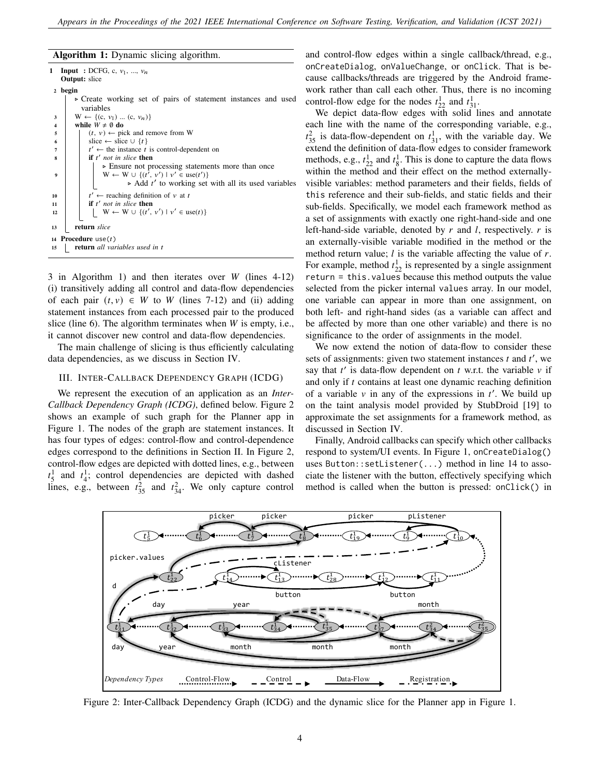# Algorithm 1: Dynamic slicing algorithm.

```
1 Input : DCFG, c, v_1, ..., v_nOutput: slice
 2 begin
         ⊲ Create working set of pairs of statement instances and used
            variables
 3 | W ← {(c, v_1) ... (c, v_n)}
 4 while W \neq \emptyset do
 5 \mid \cdot \cdot \cdot \rangle \leftarrow pick and remove from W
 6 slice ← slice \cup {t}
  7 \mid tt' \leftarrow the instance t is control-dependent on
  8 if t' not in slice then
                   ⊲ Ensure not processing statements more than once
  9 \vert \qquad \vert \qquad W \leftarrow W \cup \{(t', v') \mid v' \in \text{use}(t')\}⊳ Add t' to working set with all its used variables
 10 \mid tt' \leftarrow reaching definition of v at t11 if t' not in slice then
 12 \vert \vert \vert \vert \mathbf{W} \leftarrow \mathbf{W} \cup \{ (t', v') \mid v' \in \text{use}(t) \}13 return slice
 14 Procedure use(t)15 return all variables used in t
```
3 in Algorithm [1\)](#page-3-0) and then iterates over  $W$  (lines 4-12) (i) transitively adding all control and data-flow dependencies of each pair  $(t, v) \in W$  to W (lines 7-12) and (ii) adding statement instances from each processed pair to the produced slice (line  $6$ ). The algorithm terminates when  $W$  is empty, i.e., it cannot discover new control and data-flow dependencies.

The main challenge of slicing is thus efficiently calculating data dependencies, as we discuss in Section [IV.](#page-4-0)

# <span id="page-3-2"></span>III. INTER-CALLBACK DEPENDENCY GRAPH (ICDG)

We represent the execution of an application as an *Inter-Callback Dependency Graph (ICDG)*, defined below. Figure [2](#page-3-1) shows an example of such graph for the Planner app in Figure [1.](#page-1-0) The nodes of the graph are statement instances. It has four types of edges: control-flow and control-dependence edges correspond to the definitions in Section [II.](#page-2-0) In Figure [2,](#page-3-1) control-flow edges are depicted with dotted lines, e.g., between  $t_5^1$  and  $t_4^1$ ; control dependencies are depicted with dashed lines, e.g., between  $t_{35}^2$  and  $t_{34}^2$ . We only capture control

<span id="page-3-0"></span>and control-flow edges within a single callback/thread, e.g., onCreateDialog, onValueChange, or onClick. That is because callbacks/threads are triggered by the Android framework rather than call each other. Thus, there is no incoming control-flow edge for the nodes  $t_{22}^1$  and  $t_{31}^1$ .

We depict data-flow edges with solid lines and annotate each line with the name of the corresponding variable, e.g.,  $t_{35}^2$  is data-flow-dependent on  $t_{31}^1$ , with the variable day. We extend the definition of data-flow edges to consider framework methods, e.g.,  $t_{22}^1$  and  $t_8^1$ . This is done to capture the data flows within the method and their effect on the method externallyvisible variables: method parameters and their fields, fields of this reference and their sub-fields, and static fields and their sub-fields. Specifically, we model each framework method as a set of assignments with exactly one right-hand-side and one left-hand-side variable, denoted by  $r$  and  $l$ , respectively.  $r$  is an externally-visible variable modified in the method or the method return value;  $l$  is the variable affecting the value of  $r$ . For example, method  $t_{22}^1$  is represented by a single assignment return = this.values because this method outputs the value selected from the picker internal values array. In our model, one variable can appear in more than one assignment, on both left- and right-hand sides (as a variable can affect and be affected by more than one other variable) and there is no significance to the order of assignments in the model.

We now extend the notion of data-flow to consider these sets of assignments: given two statement instances  $t$  and  $t'$ , we say that  $t'$  is data-flow dependent on  $t$  w.r.t. the variable  $v$  if and only if  $t$  contains at least one dynamic reaching definition of a variable  $v$  in any of the expressions in  $t'$ . We build up on the taint analysis model provided by StubDroid [\[19\]](#page-10-18) to approximate the set assignments for a framework method, as discussed in Section [IV.](#page-4-0)

Finally, Android callbacks can specify which other callbacks respond to system/UI events. In Figure [1,](#page-1-0) onCreateDialog() uses Button::setListener(...) method in line 14 to associate the listener with the button, effectively specifying which method is called when the button is pressed: onClick() in

<span id="page-3-1"></span>

Figure 2: Inter-Callback Dependency Graph (ICDG) and the dynamic slice for the Planner app in Figure [1.](#page-1-0)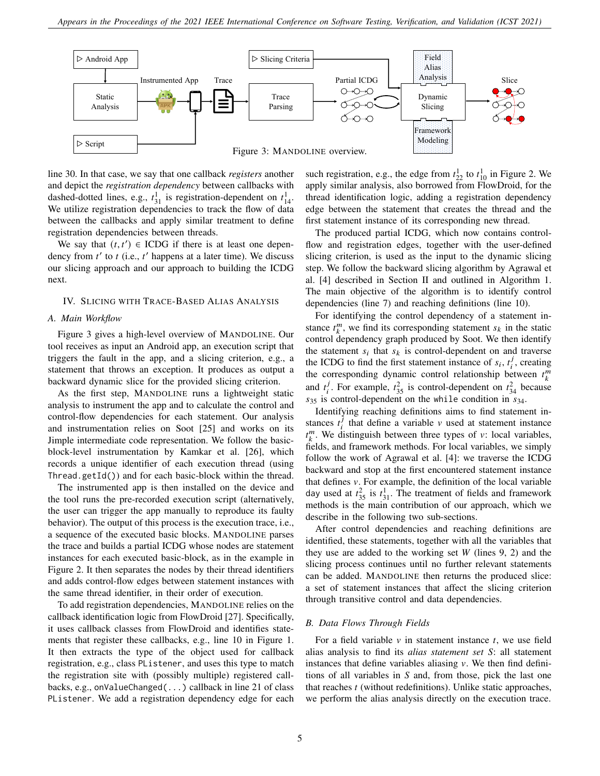<span id="page-4-1"></span>

line 30. In that case, we say that one callback *registers* another and depict the *registration dependency* between callbacks with dashed-dotted lines, e.g.,  $t_{31}^1$  is registration-dependent on  $t_{14}^1$ . We utilize registration dependencies to track the flow of data between the callbacks and apply similar treatment to define registration dependencies between threads.

We say that  $(t, t') \in \text{ICDG}$  if there is at least one dependency from  $t'$  to  $t$  (i.e.,  $t'$  happens at a later time). We discuss our slicing approach and our approach to building the ICDG next.

# <span id="page-4-0"></span>IV. SLICING WITH TRACE-BASED ALIAS ANALYSIS

# *A. Main Workflow*

Figure [3](#page-4-1) gives a high-level overview of MANDOLINE. Our tool receives as input an Android app, an execution script that triggers the fault in the app, and a slicing criterion, e.g., a statement that throws an exception. It produces as output a backward dynamic slice for the provided slicing criterion.

As the first step, MANDOLINE runs a lightweight static analysis to instrument the app and to calculate the control and control-flow dependencies for each statement. Our analysis and instrumentation relies on Soot [\[25\]](#page-10-24) and works on its Jimple intermediate code representation. We follow the basicblock-level instrumentation by Kamkar et al. [\[26\]](#page-10-25), which records a unique identifier of each execution thread (using Thread.getId()) and for each basic-block within the thread.

The instrumented app is then installed on the device and the tool runs the pre-recorded execution script (alternatively, the user can trigger the app manually to reproduce its faulty behavior). The output of this process is the execution trace, i.e., a sequence of the executed basic blocks. MANDOLINE parses the trace and builds a partial ICDG whose nodes are statement instances for each executed basic-block, as in the example in Figure [2.](#page-3-1) It then separates the nodes by their thread identifiers and adds control-flow edges between statement instances with the same thread identifier, in their order of execution.

To add registration dependencies, MANDOLINE relies on the callback identification logic from FlowDroid [\[27\]](#page-10-26). Specifically, it uses callback classes from FlowDroid and identifies statements that register these callbacks, e.g., line 10 in Figure [1.](#page-1-0) It then extracts the type of the object used for callback registration, e.g., class PListener, and uses this type to match the registration site with (possibly multiple) registered callbacks, e.g., onValueChanged(...) callback in line 21 of class PListener. We add a registration dependency edge for each

such registration, e.g., the edge from  $t_{22}^1$  to  $t_{10}^1$  in Figure [2.](#page-3-1) We apply similar analysis, also borrowed from FlowDroid, for the thread identification logic, adding a registration dependency edge between the statement that creates the thread and the first statement instance of its corresponding new thread.

The produced partial ICDG, which now contains controlflow and registration edges, together with the user-defined slicing criterion, is used as the input to the dynamic slicing step. We follow the backward slicing algorithm by Agrawal et al. [\[4\]](#page-10-3) described in Section [II](#page-2-0) and outlined in Algorithm [1.](#page-3-0) The main objective of the algorithm is to identify control dependencies (line 7) and reaching definitions (line 10).

For identifying the control dependency of a statement instance  $t_k^m$ , we find its corresponding statement  $s_k$  in the static control dependency graph produced by Soot. We then identify the statement  $s_i$  that  $s_k$  is control-dependent on and traverse the ICDG to find the first statement instance of  $s_i$ ,  $t_i^j$  $i<sub>i</sub>$ , creating the corresponding dynamic control relationship between  $t_k^m$ and  $t_i^j$  $i<sup>j</sup>$ . For example,  $t_{35}^2$  is control-dependent on  $t_{34}^2$  because  $s_{35}$  is control-dependent on the while condition in  $s_{34}$ .

Identifying reaching definitions aims to find statement instances  $t_i^j$  $i$  that define a variable v used at statement instance  $t_k^m$ . We distinguish between three types of v: local variables, fields, and framework methods. For local variables, we simply follow the work of Agrawal et al. [\[4\]](#page-10-3): we traverse the ICDG backward and stop at the first encountered statement instance that defines  $v$ . For example, the definition of the local variable day used at  $t_{35}^2$  is  $t_{31}^1$ . The treatment of fields and framework methods is the main contribution of our approach, which we describe in the following two sub-sections.

After control dependencies and reaching definitions are identified, these statements, together with all the variables that they use are added to the working set  $W$  (lines 9, 2) and the slicing process continues until no further relevant statements can be added. MANDOLINE then returns the produced slice: a set of statement instances that affect the slicing criterion through transitive control and data dependencies.

#### *B. Data Flows Through Fields*

For a field variable  $\nu$  in statement instance  $t$ , we use field alias analysis to find its *alias statement set S*: all statement instances that define variables aliasing  $\nu$ . We then find definitions of all variables in  $S$  and, from those, pick the last one that reaches  $t$  (without redefinitions). Unlike static approaches, we perform the alias analysis directly on the execution trace.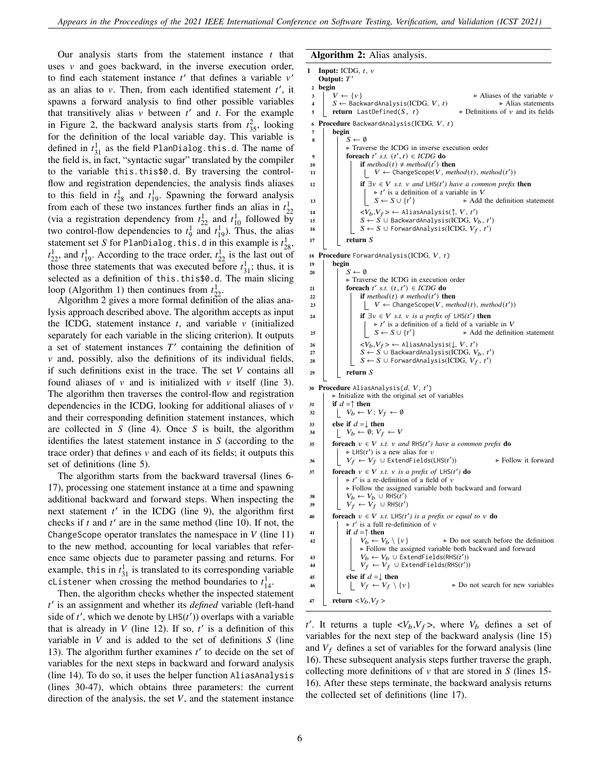Our analysis starts from the statement instance  $t$  that uses  $\nu$  and goes backward, in the inverse execution order, to find each statement instance  $t'$  that defines a variable  $v'$ as an alias to  $v$ . Then, from each identified statement  $t'$ , it spawns a forward analysis to find other possible variables that transitively alias  $v$  between  $t'$  and  $t$ . For the example in Figure [2,](#page-3-1) the backward analysis starts from  $t_{35}^2$ , looking for the definition of the local variable day. This variable is defined in  $t_{31}^1$  as the field PlanDialog.this.d. The name of the field is, in fact, "syntactic sugar" translated by the compiler to the variable this.this\$0.d. By traversing the controlflow and registration dependencies, the analysis finds aliases to this field in  $t_{28}^1$  and  $t_{19}^1$ . Spawning the forward analysis from each of these two instances further finds an alias in  $t_2^1$ From each of these two instances further lines an anas in  $t_{22}$ <br>(via a registration dependency from  $t_{22}^1$  and  $t_{10}^1$  followed by two control-flow dependencies to  $t_9^1$  and  $t_{19}^1$ ). Thus, the alias statement set S for PlanDialog.this.d in this example is  $t_{28}^1$ ,  $t_{22}^1$ , and  $t_{19}^1$ . According to the trace order,  $t_{22}^1$  is the last out of those three statements that was executed before  $t_{31}^1$ ; thus, it is selected as a definition of this.this\$0.d. The main slicing loop (Algorithm [1\)](#page-3-0) then continues from  $t_{22}^1$ .

Algorithm [2](#page-5-0) gives a more formal definition of the alias analysis approach described above. The algorithm accepts as input the ICDG, statement instance  $t$ , and variable  $v$  (initialized separately for each variable in the slicing criterion). It outputs a set of statement instances  $T'$  containing the definition of  $\nu$  and, possibly, also the definitions of its individual fields, if such definitions exist in the trace. The set  $V$  contains all found aliases of  $\nu$  and is initialized with  $\nu$  itself (line 3). The algorithm then traverses the control-flow and registration dependencies in the ICDG, looking for additional aliases of  $\nu$ and their corresponding definition statement instances, which are collected in  $S$  (line 4). Once  $S$  is built, the algorithm identifies the latest statement instance in  $S$  (according to the trace order) that defines  $v$  and each of its fields; it outputs this set of definitions (line 5).

The algorithm starts from the backward traversal (lines 6- 17), processing one statement instance at a time and spawning additional backward and forward steps. When inspecting the next statement  $t'$  in the ICDG (line 9), the algorithm first checks if  $t$  and  $t'$  are in the same method (line 10). If not, the ChangeScope operator translates the namespace in  $V$  (line 11) to the new method, accounting for local variables that reference same objects due to parameter passing and returns. For example, this in  $t_{31}^1$  is translated to its corresponding variable cListener when crossing the method boundaries to  $t_{14}^1$ .

Then, the algorithm checks whether the inspected statement t' is an assignment and whether its *defined* variable (left-hand side of  $t'$ , which we denote by  $LHS(t')$ ) overlaps with a variable that is already in  $V$  (line 12). If so,  $t'$  is a definition of this variable in  $V$  and is added to the set of definitions  $S$  (line 13). The algorithm further examines  $t'$  to decide on the set of variables for the next steps in backward and forward analysis (line 14). To do so, it uses the helper function AliasAnalysis (lines 30-47), which obtains three parameters: the current direction of the analysis, the set  $V$ , and the statement instance

# <span id="page-5-0"></span>Algorithm 2: Alias analysis.

```
1 Input: ICDG, t, vOutput: T'2 begin<br>3 |V \leftarrow \{v\}\triangleright Aliases of the variable \nu<br>\triangleright Alias statements
          S \leftarrow BackwardAnalysis(ICDG, V, t) ⊳ Alias statements<br>return LastDefined(S, t) ⊳ Definitions of v and its fields
 \mathfrak{s} return LastDefined(S, t)
 6 Procedure BackwardAnalysis(ICDG, V, t)
 \begin{array}{c|c} 7 & \text{begin} \\ 8 & \end{array}S \leftarrow \emptyset⊲ Traverse the ICDG in inverse execution order
  9 \Big| foreach t' s.t. (t', t) \in ICDG do
 10 if \text{method}(t) \neq \text{method}(t') then
  11 | | | V \leftarrow ChangeScope(V, method(t), method(t'))
 12 \vert if \exists v \in V s.t. v and \cupHS(t') have a common prefix then
                             \triangleright t' is a definition of a variable in V
  13 \mid \mid \mid \mid S \leftarrow S \cup \{t\}} ⊲ Add the definition statement
 14 | | \langle V_b, V_f \rangle \leftarrow AliasAnalysis(↑, V, t')
 15 | \quad | \quad S \leftarrow S \cup BackwardAnalysis(ICDG, V_b, t')
 16 \vert \vert S \leftarrow S \cup ForwardAnalysis(ICDG, V_f, t<sup>'</sup>)
 17 return S
18 Procedure ForwardAnalysis(ICDG, V, t)<br>19 pegin
          begin
20 | S \leftarrow \emptyset⊲ Traverse the ICDG in execution order
 21 foreach t' s.t. (t, t') \in ICDG do
 22 if method(𝑡) ≠ method(𝑡
0
) then
  23 | | | V \leftarrow \text{ChangeScope}(V, \text{method}(t), \text{method}(t'))24 if \exists v \in V \text{ s.t. } v \text{ is a prefix of } \text{LHS}(t') \text{ then}\triangleright t' is a definition of a field of a variable in V
  25 \mid \mid \mid \mid S \leftarrow S \cup \{t'\}} ⊲ Add the definition statement
 _26 \left| \begin{array}{c} \end{array} \right| \left| \begin{array}{c} \langle V_b, V_f \rangle \leftarrow \end{array}AliasAnalysis(\downarrow, V, \, t')
 27 | | S \leftarrow S∪ BackwardAnalysis(\overline{\text{ICDG}}, V_b, t')
 28 │ │ │ S \leftarrow S \cup ForwardAnalysis(\text{ICDG}, \, V_f, \, t' \text{)}29 return S
 30 Procedure AliasAnalysis(d, V, t')
          ⊲ Initialize with the original set of variables
31 if d = \uparrow then
32 \big| \bigcup V_b \leftarrow V; V_f \leftarrow \emptyset33 else if d = \downarrow then
 34 \bigcup V_b \leftarrow \emptyset; V_f \leftarrow V35 foreach v \in V s.t. v and RHS(t') have a common prefix do
                 \triangleright LHS(t') is a new alias for \nu36 | | V_f ← V_f ∪ ExtendFields(LHS(t')) ⊲ Follow it forward
 37 foreach v \in V s.t. v is a prefix of LHS(t') do
                 \triangleright t' is a re-definition of a field of \nu⊲ Follow the assigned variable both backward and forward
 38 \vert \quad V_b \leftarrow V_b \cup \text{RHS}(t')39 \begin{vmatrix} V_f & \leftarrow V_f \cup \text{RHS}(t') \end{vmatrix}40 foreach v \in V s.t. LHS(t') is a prefix or equal to v do
                 \triangleright t' is a full re-definition of \nu41 if d = \uparrow then<br>42 if d = \uparrow then<br>V_b \leftarrow V_b \setminus \{v\}42 | \cdot | V_b \leftarrow V_b \setminus \{v\} \triangleright Do not search before the definition
                      ⊲ Follow the assigned variable both backward and forward
 43 | | V_b \leftarrow V_b \cup ExtendFields(RHS(t'))
 44 | | V_f \leftarrow V_f ∪ ExtendFields(RHS(t'))
 45 else if d = \downarrow then<br>46 \downarrow V_f \leftarrow V_f \setminus \{v\}► Do not search for new variables
47 return \langle V_b, V_f \rangle
```
t'. It returns a tuple  $\langle V_b, V_f \rangle$ , where  $V_b$  defines a set of variables for the next step of the backward analysis (line 15) and  $V_f$  defines a set of variables for the forward analysis (line 16). These subsequent analysis steps further traverse the graph, collecting more definitions of  $\nu$  that are stored in S (lines 15-16). After these steps terminate, the backward analysis returns the collected set of definitions (line 17).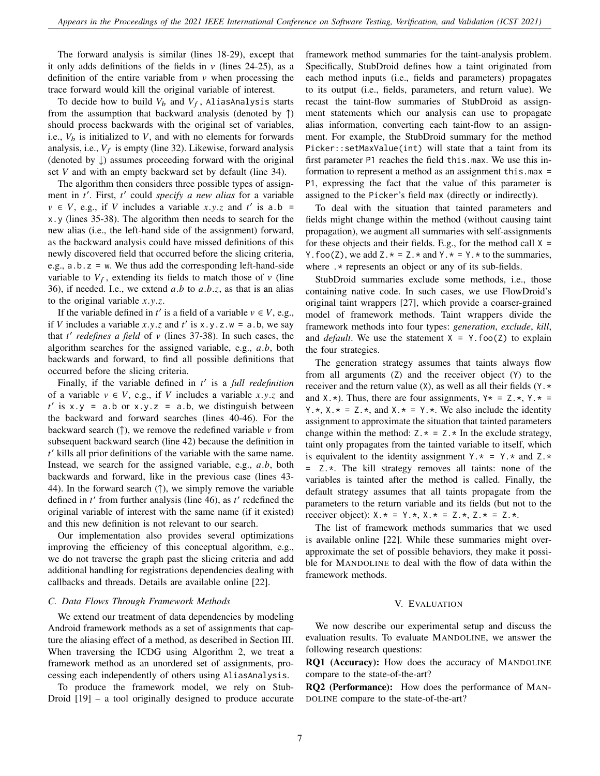The forward analysis is similar (lines 18-29), except that it only adds definitions of the fields in  $\nu$  (lines 24-25), as a definition of the entire variable from  $\nu$  when processing the trace forward would kill the original variable of interest.

To decide how to build  $V_b$  and  $V_f$ , AliasAnalysis starts from the assumption that backward analysis (denoted by  $\uparrow$ ) should process backwards with the original set of variables, i.e.,  $V_b$  is initialized to V, and with no elements for forwards analysis, i.e.,  $V_f$  is empty (line 32). Likewise, forward analysis (denoted by ↓) assumes proceeding forward with the original set  $V$  and with an empty backward set by default (line 34).

The algorithm then considers three possible types of assignment in t'. First, t' could *specify a new alias* for a variable  $v \in V$ , e.g., if V includes a variable x.y.z and t' is a.b = x.y (lines 35-38). The algorithm then needs to search for the new alias (i.e., the left-hand side of the assignment) forward, as the backward analysis could have missed definitions of this newly discovered field that occurred before the slicing criteria, e.g.,  $a.b.z = w$ . We thus add the corresponding left-hand-side variable to  $V_f$ , extending its fields to match those of  $v$  (line 36), if needed. I.e., we extend  $a.b$  to  $a.b.z$ , as that is an alias to the original variable  $x.y.z.$ 

If the variable defined in  $t'$  is a field of a variable  $v \in V$ , e.g., if V includes a variable  $x,y,z$  and  $t'$  is  $x,y,z,w = a,b$ , we say that  $t'$  redefines a field of  $v$  (lines 37-38). In such cases, the algorithm searches for the assigned variable, e.g.,  $a.b$ , both backwards and forward, to find all possible definitions that occurred before the slicing criteria.

Finally, if the variable defined in t' is a *full redefinition* of a variable  $v \in V$ , e.g., if V includes a variable x.y.z and  $t'$  is x.y = a.b or x.y.z = a.b, we distinguish between the backward and forward searches (lines 40-46). For the backward search ( $\uparrow$ ), we remove the redefined variable  $\nu$  from subsequent backward search (line 42) because the definition in  $t'$  kills all prior definitions of the variable with the same name. Instead, we search for the assigned variable, e.g.,  $a.b$ , both backwards and forward, like in the previous case (lines 43- 44). In the forward search  $(†)$ , we simply remove the variable defined in  $t'$  from further analysis (line 46), as  $t'$  redefined the original variable of interest with the same name (if it existed) and this new definition is not relevant to our search.

Our implementation also provides several optimizations improving the efficiency of this conceptual algorithm, e.g., we do not traverse the graph past the slicing criteria and add additional handling for registrations dependencies dealing with callbacks and threads. Details are available online [\[22\]](#page-10-21).

#### *C. Data Flows Through Framework Methods*

We extend our treatment of data dependencies by modeling Android framework methods as a set of assignments that capture the aliasing effect of a method, as described in Section [III.](#page-3-2) When traversing the ICDG using Algorithm [2,](#page-5-0) we treat a framework method as an unordered set of assignments, processing each independently of others using AliasAnalysis.

To produce the framework model, we rely on Stub-Droid [\[19\]](#page-10-18) – a tool originally designed to produce accurate framework method summaries for the taint-analysis problem. Specifically, StubDroid defines how a taint originated from each method inputs (i.e., fields and parameters) propagates to its output (i.e., fields, parameters, and return value). We recast the taint-flow summaries of StubDroid as assignment statements which our analysis can use to propagate alias information, converting each taint-flow to an assignment. For example, the StubDroid summary for the method Picker::setMaxValue(int) will state that a taint from its first parameter P1 reaches the field this.max. We use this information to represent a method as an assignment this.max = P1, expressing the fact that the value of this parameter is assigned to the Picker's field max (directly or indirectly).

To deal with the situation that tainted parameters and fields might change within the method (without causing taint propagation), we augment all summaries with self-assignments for these objects and their fields. E.g., for the method call  $X =$ Y. foo(Z), we add  $Z.* = Z.*$  and  $Y.* = Y.*$  to the summaries, where  $\cdot$  \* represents an object or any of its sub-fields.

StubDroid summaries exclude some methods, i.e., those containing native code. In such cases, we use FlowDroid's original taint wrappers [\[27\]](#page-10-26), which provide a coarser-grained model of framework methods. Taint wrappers divide the framework methods into four types: *generation*, *exclude*, *kill*, and *default*. We use the statement  $X = Y$ . foo(Z) to explain the four strategies.

The generation strategy assumes that taints always flow from all arguments (Z) and the receiver object (Y) to the receiver and the return value (X), as well as all their fields (Y.\* and  $X.*$ ). Thus, there are four assignments,  $Y* = Z.*$ ,  $Y.* =$ Y.  $\star$ , X.  $\star$  = Z.  $\star$ , and X.  $\star$  = Y.  $\star$ . We also include the identity assignment to approximate the situation that tainted parameters change within the method:  $Z.* = Z.*$  In the exclude strategy, taint only propagates from the tainted variable to itself, which is equivalent to the identity assignment  $Y.* = Y.*$  and  $Z.*$ = Z.\*. The kill strategy removes all taints: none of the variables is tainted after the method is called. Finally, the default strategy assumes that all taints propagate from the parameters to the return variable and its fields (but not to the receiver object):  $X.* = Y.*$ ,  $X.* = Z.*$ ,  $Z.* = Z.*$ .

The list of framework methods summaries that we used is available online [\[22\]](#page-10-21). While these summaries might overapproximate the set of possible behaviors, they make it possible for MANDOLINE to deal with the flow of data within the framework methods.

# V. EVALUATION

We now describe our experimental setup and discuss the evaluation results. To evaluate MANDOLINE, we answer the following research questions:

RQ1 (Accuracy): How does the accuracy of MANDOLINE compare to the state-of-the-art?

RQ2 (Performance): How does the performance of MAN-DOLINE compare to the state-of-the-art?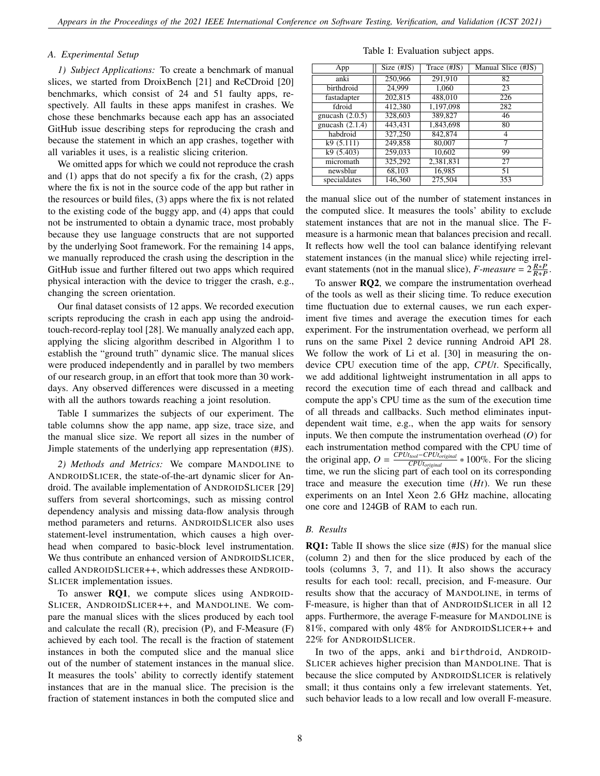# *A. Experimental Setup*

*1) Subject Applications:* To create a benchmark of manual slices, we started from DroixBench [\[21\]](#page-10-20) and ReCDroid [\[20\]](#page-10-19) benchmarks, which consist of 24 and 51 faulty apps, respectively. All faults in these apps manifest in crashes. We chose these benchmarks because each app has an associated GitHub issue describing steps for reproducing the crash and because the statement in which an app crashes, together with all variables it uses, is a realistic slicing criterion.

We omitted apps for which we could not reproduce the crash and (1) apps that do not specify a fix for the crash, (2) apps where the fix is not in the source code of the app but rather in the resources or build files, (3) apps where the fix is not related to the existing code of the buggy app, and (4) apps that could not be instrumented to obtain a dynamic trace, most probably because they use language constructs that are not supported by the underlying Soot framework. For the remaining 14 apps, we manually reproduced the crash using the description in the GitHub issue and further filtered out two apps which required physical interaction with the device to trigger the crash, e.g., changing the screen orientation.

Our final dataset consists of 12 apps. We recorded execution scripts reproducing the crash in each app using the androidtouch-record-replay tool [\[28\]](#page-10-27). We manually analyzed each app, applying the slicing algorithm described in Algorithm [1](#page-3-0) to establish the "ground truth" dynamic slice. The manual slices were produced independently and in parallel by two members of our research group, in an effort that took more than 30 workdays. Any observed differences were discussed in a meeting with all the authors towards reaching a joint resolution.

Table [I](#page-7-0) summarizes the subjects of our experiment. The table columns show the app name, app size, trace size, and the manual slice size. We report all sizes in the number of Jimple statements of the underlying app representation (#JS).

*2) Methods and Metrics:* We compare MANDOLINE to ANDROIDSLICER, the state-of-the-art dynamic slicer for Android. The available implementation of ANDROIDSLICER [\[29\]](#page-10-28) suffers from several shortcomings, such as missing control dependency analysis and missing data-flow analysis through method parameters and returns. ANDROIDSLICER also uses statement-level instrumentation, which causes a high overhead when compared to basic-block level instrumentation. We thus contribute an enhanced version of ANDROIDSLICER, called ANDROIDSLICER++, which addresses these ANDROID-SLICER implementation issues.

To answer RQ1, we compute slices using ANDROID-SLICER, ANDROIDSLICER++, and MANDOLINE. We compare the manual slices with the slices produced by each tool and calculate the recall (R), precision (P), and F-Measure (F) achieved by each tool. The recall is the fraction of statement instances in both the computed slice and the manual slice out of the number of statement instances in the manual slice. It measures the tools' ability to correctly identify statement instances that are in the manual slice. The precision is the fraction of statement instances in both the computed slice and

Table I: Evaluation subject apps.

<span id="page-7-0"></span>

| App               | Size $(\#JS)$ | Trace (#JS) | Manual Slice (#JS) |
|-------------------|---------------|-------------|--------------------|
| anki              | 250,966       | 291,910     | 82                 |
| birthdroid        | 24,999        | 1.060       | 23                 |
| fastadapter       | 202,815       | 488,010     | 226                |
| fdroid            | 412,380       | 1,197,098   | 282                |
| gnucash $(2.0.5)$ | 328,603       | 389,827     | 46                 |
| gnucash $(2.1.4)$ | 443,431       | 1,843,698   | 80                 |
| habdroid          | 327,250       | 842,874     | 4                  |
| k9(5.111)         | 249,858       | 80,007      | 7                  |
| k9(5.403)         | 259,033       | 10,602      | 99                 |
| micromath         | 325,292       | 2,381,831   | 27                 |
| newsblur          | 68.103        | 16.985      | 51                 |
| specialdates      | 146,360       | 275,504     | 353                |

the manual slice out of the number of statement instances in the computed slice. It measures the tools' ability to exclude statement instances that are not in the manual slice. The Fmeasure is a harmonic mean that balances precision and recall. It reflects how well the tool can balance identifying relevant statement instances (in the manual slice) while rejecting irrelevant statements (not in the manual slice),  $F$ -measure =  $2\frac{R*P}{R+P}$ .

To answer RQ2, we compare the instrumentation overhead of the tools as well as their slicing time. To reduce execution time fluctuation due to external causes, we run each experiment five times and average the execution times for each experiment. For the instrumentation overhead, we perform all runs on the same Pixel 2 device running Android API 28. We follow the work of Li et al. [\[30\]](#page-10-29) in measuring the ondevice CPU execution time of the app, *CPUt*. Specifically, we add additional lightweight instrumentation in all apps to record the execution time of each thread and callback and compute the app's CPU time as the sum of the execution time of all threads and callbacks. Such method eliminates inputdependent wait time, e.g., when the app waits for sensory inputs. We then compute the instrumentation overhead  $(O)$  for each instrumentation method compared with the CPU time of the original app,  $O = \frac{CPU_{tool} - CPU_{original}}{CPI_{threshold}}$ *CPUtoriginal* ∗ 100%. For the slicing time, we run the slicing part of each tool on its corresponding trace and measure the execution time  $(Ht)$ . We run these experiments on an Intel Xeon 2.6 GHz machine, allocating one core and 124GB of RAM to each run.

# *B. Results*

RQ1: Table [II](#page-8-0) shows the slice size (#JS) for the manual slice (column 2) and then for the slice produced by each of the tools (columns 3, 7, and 11). It also shows the accuracy results for each tool: recall, precision, and F-measure. Our results show that the accuracy of MANDOLINE, in terms of F-measure, is higher than that of ANDROIDSLICER in all 12 apps. Furthermore, the average F-measure for MANDOLINE is 81%, compared with only 48% for ANDROIDSLICER++ and 22% for ANDROIDSLICER.

In two of the apps, anki and birthdroid, ANDROID-SLICER achieves higher precision than MANDOLINE. That is because the slice computed by ANDROIDSLICER is relatively small; it thus contains only a few irrelevant statements. Yet, such behavior leads to a low recall and low overall F-measure.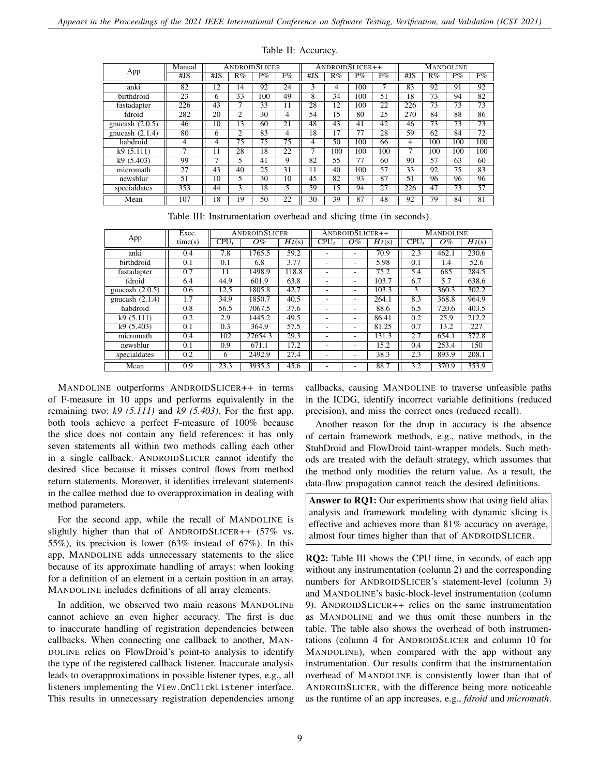<span id="page-8-0"></span>

|                   | Manual | <b>ANDROIDSLICER</b> |                |                 |    | ANDROIDSLICER++ |     |                 |     | <b>MANDOLINE</b> |                 |                 |                 |
|-------------------|--------|----------------------|----------------|-----------------|----|-----------------|-----|-----------------|-----|------------------|-----------------|-----------------|-----------------|
| App               | #JS    | #JS                  | R%             | $P\%$           | F% | #IS             | R%  | $P\%$           | F%  | #JS              | R%              | $P\%$           | F%              |
| anki              | 82     | 12                   | 14             | 92              | 24 | 3               | 4   | 100             | 7   | 83               | 92              | 91              | 92              |
| birthdroid        | 23     | 6                    | 33             | 100             | 49 | 8               | 34  | 100             | 51  | 18               | $7\overline{3}$ | 94              | 82              |
| fastadapter       | 226    | 43                   | 7              | $3\overline{3}$ | 11 | 28              | 12  | 100             | 22  | 226              | 73              | 73              | $\overline{73}$ |
| fdroid            | 282    | 20                   | $\overline{c}$ | 30              | 4  | 54              | 15  | 80              | 25  | 270              | 84              | 88              | 86              |
| gnucash $(2.0.5)$ | 46     | $1\overline{0}$      | 13             | 60              | 21 | 48              | 43  | 41              | 42  | 46               | 73              | $\overline{73}$ | 73              |
| gnucash $(2.1.4)$ | 80     | 6                    | $\mathfrak{D}$ | 83              | 4  | 18              | 17  | 77              | 28  | 59               | 62              | 84              | 72              |
| habdroid          | 4      | 4                    | 75             | 75              | 75 | 4               | 50  | 100             | 66  | 4                | 100             | 100             | 100             |
| k9(5.111)         | ┑      | 11                   | 28             | 18              | 22 |                 | 100 | 100             | 100 | ┑                | 100             | 100             | 100             |
| k9(5.403)         | 99     | ⇁                    | 5              | 41              | 9  | 82              | 55  | 77              | 60  | 90               | 57              | 63              | 60              |
| micromath         | 27     | 43                   | 40             | 25              | 31 | 11              | 40  | 100             | 57  | 33               | 92              | 75              | 83              |
| newsblur          | 51     | 10                   | 5              | 30              | 10 | 45              | 82  | 93              | 87  | 51               | 96              | 96              | 96              |
| specialdates      | 353    | 44                   | 3              | 18              | 5  | 59              | 15  | 94              | 27  | 226              | 47              | 73              | 57              |
| Mean              | 107    | 18                   | I9             | 50              | 22 | $\overline{30}$ | 39  | $\overline{8}7$ | 48  | 92               | 79              | 84              | $\overline{81}$ |

Table II: Accuracy.

|  | Table III: Instrumentation overhead and slicing time (in seconds). |  |  |  |  |  |  |  |  |
|--|--------------------------------------------------------------------|--|--|--|--|--|--|--|--|
|--|--------------------------------------------------------------------|--|--|--|--|--|--|--|--|

<span id="page-8-1"></span>

|                   | Exec.   |                           | ANDROIDSLICER | ANDROIDSLICER++             |         |       | <b>MANDOLINE</b>   |         |       |                    |
|-------------------|---------|---------------------------|---------------|-----------------------------|---------|-------|--------------------|---------|-------|--------------------|
| App               | time(s) | $\overline{\text{CPU}}_t$ | $O\%$         | $\overline{Ht}(\mathbf{s})$ | $CPU_t$ | $O\%$ | $\overline{Ht}(s)$ | $CPU_t$ | $O\%$ | $\overline{Ht}(s)$ |
| anki              | 0.4     | 7.8                       | 1765.5        | 59.2                        |         |       | 70.9               | 2.3     | 462.1 | 230.6              |
| birthdroid        | 0.1     | 0.1                       | 6.8           | 3.77                        |         |       | 5.98               | 0.1     | 1.4   | 52.6               |
| fastadapter       | 0.7     | 11                        | 1498.9        | 118.8                       | ۰       |       | 75.2               | 5.4     | 685   | 284.5              |
| fdroid            | 6.4     | 44.9                      | 601.9         | 63.8                        | ۰       |       | 103.7              | 6.7     | 5.7   | 638.6              |
| gnucash $(2.0.5)$ | 0.6     | 12.5                      | 1805.8        | 42.7                        | ٠       |       | 103.3              | 3       | 360.3 | 302.2              |
| gnucash $(2.1.4)$ | 1.7     | 34.9                      | 1850.7        | 40.5                        |         |       | 264.1              | 8.3     | 368.8 | 964.9              |
| habdroid          | 0.8     | 56.5                      | 7067.5        | 37.6                        | ۰       |       | 88.6               | 6.5     | 720.6 | 403.5              |
| k9(5.111)         | 0.2     | 2.9                       | 1445.2        | 49.5                        | ۰       |       | 86.41              | 0.2     | 25.9  | 212.2              |
| k9(5.403)         | 0.1     | 0.3                       | 364.9         | 57.5                        |         |       | 81.25              | 0.7     | 13.2  | 227                |
| micromath         | 0.4     | 102                       | 27654.3       | 29.3                        | ۰       | ۰.    | 131.3              | 2.7     | 654.1 | 572.8              |
| newsblur          | 0.1     | 0.9                       | 671.1         | 17.2                        | ۰       |       | 15.2               | 0.4     | 253.4 | 150                |
| specialdates      | 0.2     | 6                         | 2492.9        | 27.4                        | ٠       |       | 38.3               | 2.3     | 893.9 | 208.1              |
| Mean              | 0.9     | 23.3                      | 3935.5        | 45.6                        | ۰       |       | 88.7               | 3.2     | 370.9 | 353.9              |

MANDOLINE outperforms ANDROIDSLICER++ in terms of F-measure in 10 apps and performs equivalently in the remaining two: *k9 (5.111)* and *k9 (5.403)*. For the first app, both tools achieve a perfect F-measure of 100% because the slice does not contain any field references: it has only seven statements all within two methods calling each other in a single callback. ANDROIDSLICER cannot identify the desired slice because it misses control flows from method return statements. Moreover, it identifies irrelevant statements in the callee method due to overapproximation in dealing with method parameters.

For the second app, while the recall of MANDOLINE is slightly higher than that of ANDROIDSLICER++ (57% vs. 55%), its precision is lower (63% instead of 67%). In this app, MANDOLINE adds unnecessary statements to the slice because of its approximate handling of arrays: when looking for a definition of an element in a certain position in an array, MANDOLINE includes definitions of all array elements.

In addition, we observed two main reasons MANDOLINE cannot achieve an even higher accuracy. The first is due to inaccurate handling of registration dependencies between callbacks. When connecting one callback to another, MAN-DOLINE relies on FlowDroid's point-to analysis to identify the type of the registered callback listener. Inaccurate analysis leads to overapproximations in possible listener types, e.g., all listeners implementing the View.OnClickListener interface. This results in unnecessary registration dependencies among

callbacks, causing MANDOLINE to traverse unfeasible paths in the ICDG, identify incorrect variable definitions (reduced precision), and miss the correct ones (reduced recall).

Another reason for the drop in accuracy is the absence of certain framework methods, e.g., native methods, in the StubDroid and FlowDroid taint-wrapper models. Such methods are treated with the default strategy, which assumes that the method only modifies the return value. As a result, the data-flow propagation cannot reach the desired definitions.

Answer to RQ1: Our experiments show that using field alias analysis and framework modeling with dynamic slicing is effective and achieves more than 81% accuracy on average, almost four times higher than that of ANDROIDSLICER.

RQ2: Table [III](#page-8-1) shows the CPU time, in seconds, of each app without any instrumentation (column 2) and the corresponding numbers for ANDROIDSLICER's statement-level (column 3) and MANDOLINE's basic-block-level instrumentation (column 9). ANDROIDSLICER++ relies on the same instrumentation as MANDOLINE and we thus omit these numbers in the table. The table also shows the overhead of both instrumentations (column 4 for ANDROIDSLICER and column 10 for MANDOLINE), when compared with the app without any instrumentation. Our results confirm that the instrumentation overhead of MANDOLINE is consistently lower than that of ANDROIDSLICER, with the difference being more noticeable as the runtime of an app increases, e.g., *fdroid* and *micromath*.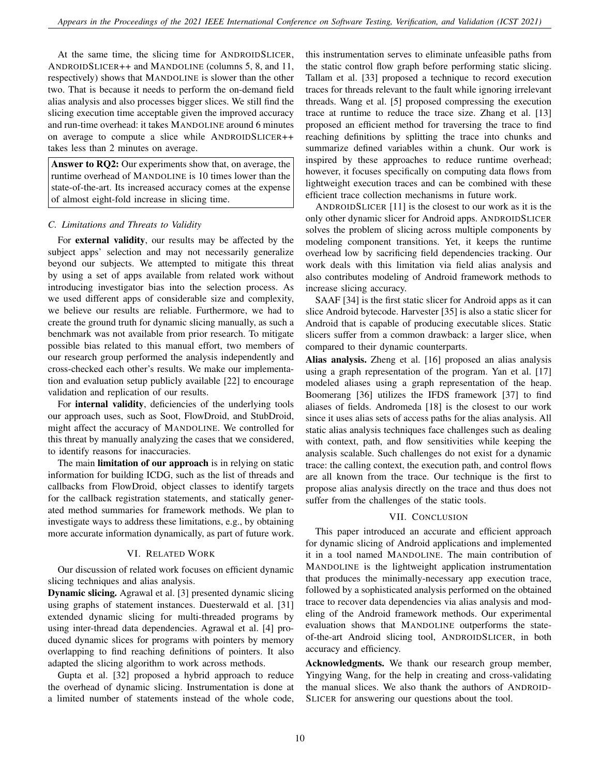At the same time, the slicing time for ANDROIDSLICER, ANDROIDSLICER++ and MANDOLINE (columns 5, 8, and 11, respectively) shows that MANDOLINE is slower than the other two. That is because it needs to perform the on-demand field alias analysis and also processes bigger slices. We still find the slicing execution time acceptable given the improved accuracy and run-time overhead: it takes MANDOLINE around 6 minutes on average to compute a slice while ANDROIDSLICER++ takes less than 2 minutes on average.

Answer to RQ2: Our experiments show that, on average, the runtime overhead of MANDOLINE is 10 times lower than the state-of-the-art. Its increased accuracy comes at the expense of almost eight-fold increase in slicing time.

# *C. Limitations and Threats to Validity*

For external validity, our results may be affected by the subject apps' selection and may not necessarily generalize beyond our subjects. We attempted to mitigate this threat by using a set of apps available from related work without introducing investigator bias into the selection process. As we used different apps of considerable size and complexity, we believe our results are reliable. Furthermore, we had to create the ground truth for dynamic slicing manually, as such a benchmark was not available from prior research. To mitigate possible bias related to this manual effort, two members of our research group performed the analysis independently and cross-checked each other's results. We make our implementation and evaluation setup publicly available [\[22\]](#page-10-21) to encourage validation and replication of our results.

For internal validity, deficiencies of the underlying tools our approach uses, such as Soot, FlowDroid, and StubDroid, might affect the accuracy of MANDOLINE. We controlled for this threat by manually analyzing the cases that we considered, to identify reasons for inaccuracies.

The main limitation of our approach is in relying on static information for building ICDG, such as the list of threads and callbacks from FlowDroid, object classes to identify targets for the callback registration statements, and statically generated method summaries for framework methods. We plan to investigate ways to address these limitations, e.g., by obtaining more accurate information dynamically, as part of future work.

# VI. RELATED WORK

Our discussion of related work focuses on efficient dynamic slicing techniques and alias analysis.

Dynamic slicing. Agrawal et al. [\[3\]](#page-10-2) presented dynamic slicing using graphs of statement instances. Duesterwald et al. [\[31\]](#page-10-30) extended dynamic slicing for multi-threaded programs by using inter-thread data dependencies. Agrawal et al. [\[4\]](#page-10-3) produced dynamic slices for programs with pointers by memory overlapping to find reaching definitions of pointers. It also adapted the slicing algorithm to work across methods.

Gupta et al. [\[32\]](#page-10-31) proposed a hybrid approach to reduce the overhead of dynamic slicing. Instrumentation is done at a limited number of statements instead of the whole code,

this instrumentation serves to eliminate unfeasible paths from the static control flow graph before performing static slicing. Tallam et al. [\[33\]](#page-10-32) proposed a technique to record execution traces for threads relevant to the fault while ignoring irrelevant threads. Wang et al. [\[5\]](#page-10-4) proposed compressing the execution trace at runtime to reduce the trace size. Zhang et al. [\[13\]](#page-10-12) proposed an efficient method for traversing the trace to find reaching definitions by splitting the trace into chunks and summarize defined variables within a chunk. Our work is inspired by these approaches to reduce runtime overhead; however, it focuses specifically on computing data flows from lightweight execution traces and can be combined with these efficient trace collection mechanisms in future work.

ANDROIDSLICER [\[11\]](#page-10-10) is the closest to our work as it is the only other dynamic slicer for Android apps. ANDROIDSLICER solves the problem of slicing across multiple components by modeling component transitions. Yet, it keeps the runtime overhead low by sacrificing field dependencies tracking. Our work deals with this limitation via field alias analysis and also contributes modeling of Android framework methods to increase slicing accuracy.

SAAF [\[34\]](#page-10-33) is the first static slicer for Android apps as it can slice Android bytecode. Harvester [\[35\]](#page-10-34) is also a static slicer for Android that is capable of producing executable slices. Static slicers suffer from a common drawback: a larger slice, when compared to their dynamic counterparts.

Alias analysis. Zheng et al. [\[16\]](#page-10-15) proposed an alias analysis using a graph representation of the program. Yan et al. [\[17\]](#page-10-16) modeled aliases using a graph representation of the heap. Boomerang [\[36\]](#page-10-35) utilizes the IFDS framework [\[37\]](#page-10-36) to find aliases of fields. Andromeda [\[18\]](#page-10-17) is the closest to our work since it uses alias sets of access paths for the alias analysis. All static alias analysis techniques face challenges such as dealing with context, path, and flow sensitivities while keeping the analysis scalable. Such challenges do not exist for a dynamic trace: the calling context, the execution path, and control flows are all known from the trace. Our technique is the first to propose alias analysis directly on the trace and thus does not suffer from the challenges of the static tools.

# VII. CONCLUSION

This paper introduced an accurate and efficient approach for dynamic slicing of Android applications and implemented it in a tool named MANDOLINE. The main contribution of MANDOLINE is the lightweight application instrumentation that produces the minimally-necessary app execution trace, followed by a sophisticated analysis performed on the obtained trace to recover data dependencies via alias analysis and modeling of the Android framework methods. Our experimental evaluation shows that MANDOLINE outperforms the stateof-the-art Android slicing tool, ANDROIDSLICER, in both accuracy and efficiency.

Acknowledgments. We thank our research group member, Yingying Wang, for the help in creating and cross-validating the manual slices. We also thank the authors of ANDROID-SLICER for answering our questions about the tool.